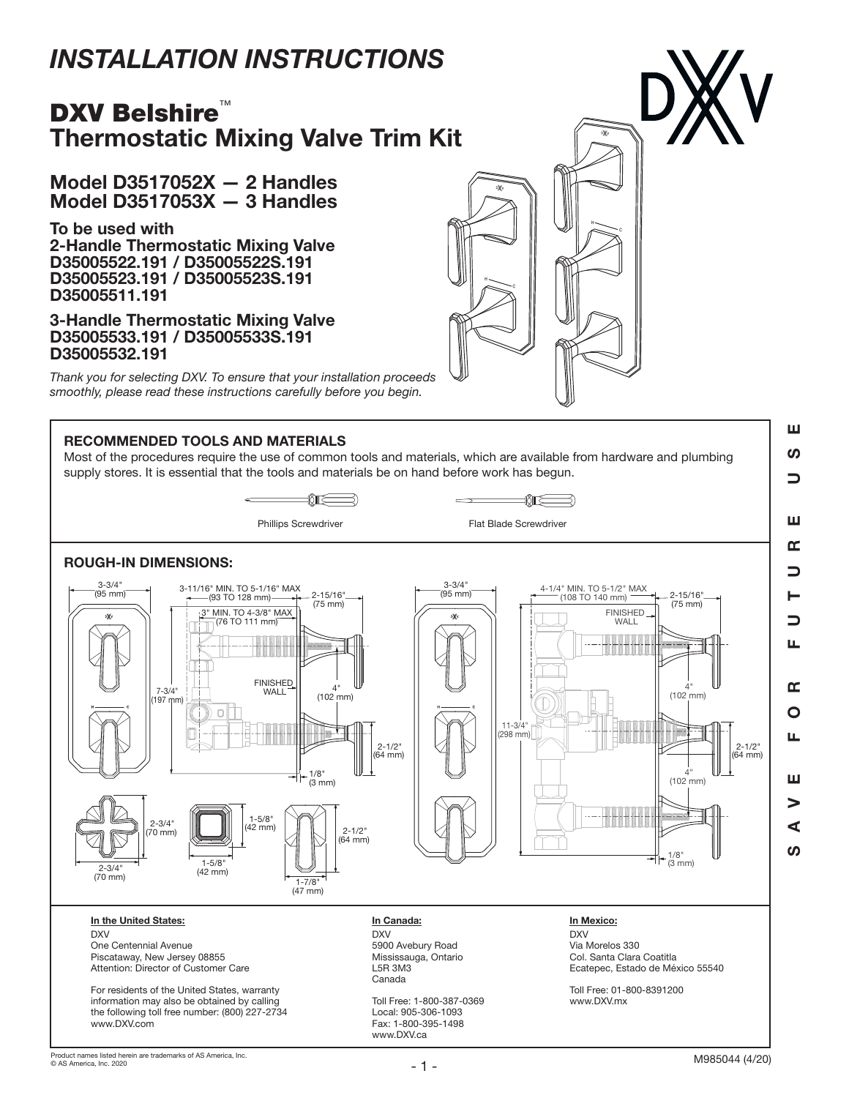# *INSTALLATION INSTRUCTIONS*

## DXV Belshire<sup>™</sup> Thermostatic Mixing Valve Trim Kit

Model D3517052X — 2 Handles Model D3517053X — 3 Handles

To be used with 2-Handle Thermostatic Mixing Valve D35005522.191 / D35005522S.191 D35005523.191 / D35005523S.191 D35005511.191

3-Handle Thermostatic Mixing Valve D35005533.191 / D35005533S.191 D35005532.191

*Thank you for selecting DXV. To ensure that your installation proceeds smoothly, please read these instructions carefully before you begin.*

### RECOMMENDED TOOLS AND MATERIALS

Most of the procedures require the use of common tools and materials, which are available from hardware and plumbing supply stores. It is essential that the tools and materials be on hand before work has begun.

₩





Piscataway, New Jersey 08855 Attention: Director of Customer Care

For residents of the United States, warranty information may also be obtained by calling the following toll free number: (800) 227-2734 www.DXV.com

Mississauga, Ontario L5R 3M3 Canada

Toll Free: 1-800-387-0369 Local: 905-306-1093 Fax: 1-800-395-1498 www.DXV.ca

## Col. Santa Clara Coatitla Ecatepec, Estado de México 55540

Toll Free: 01-800-8391200 www.DXV.mx

SAVE FOR FUTURE USE  $\Rightarrow$ ш œ コ  $\Box$ ய  $\mathbf{r}$ O п. ш ⋗ ⋖ ഗ

ш **S**